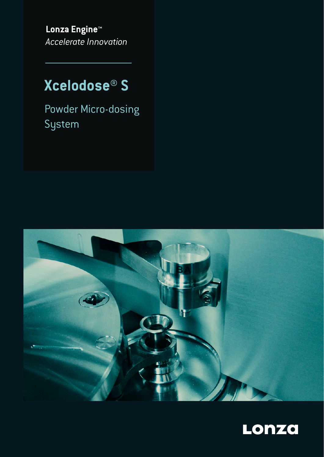**Lonza Engine™** *Accelerate Innovation*

# **Xcelodose® S**

Powder Micro-dosing System



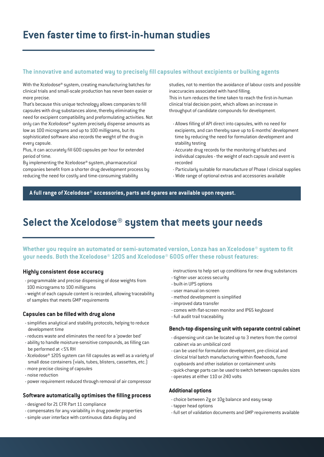### **Even faster time to first-in-human studies**

#### The innovative and automated way to precisely fill capsules without excipients or bulking agents

With the Xcelodose® system, creating manufacturing batches for clinical trials and small-scale production has never been easier or more precise.

That's because this unique technology allows companies to fill capsules with drug substances alone, thereby eliminating the need for excipient compatibility and preformulating activities. Not only can the Xcelodose® system precisely dispense amounts as low as 100 micrograms and up to 100 milligrams, but its sophisticated software also records the weight of the drug in every capsule.

Plus, it can accurately fill 600 capsules per hour for extended period of time.

By implementing the Xcelodose® system, pharmaceutical companies benefit from a shorter drug development process by reducing the need for costly and time-consuming stability

studies, not to mention the avoidance of labour costs and possible inaccuracies associated with hand filling.

This in turn reduces the time taken to reach the first-in-human clinical trial decision point, which allows an increase in throughput of candidate compounds for development.

- Allows filling of API direct into capsules, with no need for excipients, and can thereby save up to 6 months' development time by reducing the need for formulation development and stability testing
- Accurate drug records for the monitoring of batches and individual capsules - the weight of each capsule and event is recorded
- Particularly suitable for manufacture of Phase I clinical supplies
- Wide range of optional extras and accessories available

**A full range of Xcelodose® accessories, parts and spares are available upon request.**

## **Select the Xcelodose® system that meets your needs**

Whether you require an automated or semi-automated version, Lonza has an Xcelodose® system to fit **your needs. Both the Xcelodose® 120S and Xcelodose® 600S offer these robust features:**

#### **Highly consistent dose accuracy**

- programmable and precise dispensing of dose weights from 100 micrograms to 100 milligrams
- weight of each capsule content is recorded, allowing traceability of samples that meets GMP requirements

#### **Capsules can be filled with drug alone**

- simplifies analytical and stability protocols, helping to reduce development time
- reduces waste and eliminates the need for a 'powder bed'
- ability to handle moisture-sensitive compounds, as filling can be performed at <5% RH
- Xcelodose® 120S system can fill capsules as well as a variety of small dose containers (vials, tubes, blisters, cassettes, etc.)
- more precise closing of capsules
- noise reduction
- power requirement reduced through removal of air compressor

#### Software automatically optimises the filling process

- designed for 21 CFR Part 11 compliance
- compensates for any variability in drug powder properties
- simple user interface with continuous data display and
- instructions to help set up conditions for new drug substances
- tighter user access security
- built-in UPS options
- user manual on-screen
- method development is simplified
- improved data transfer
- comes with flat-screen monitor and IP65 keyboard
- full audit trail traceability

#### **Bench-top dispensing unit with separate control cabinet**

- dispensing unit can be located up to 3 meters from the control cabinet via an umbilical cord
- can be used for formulation development, pre-clinical and clinical trial batch manufacturing within flowhoods, fume cupboards and other isolation or containment units
- quick-change parts can be used to switch between capsules sizes
- operates at either 110 or 240 volts

#### **Additional options**

- choice between 2g or 10g balance and easy swap
- tapper head options
- full set of validation documents and GMP requirements available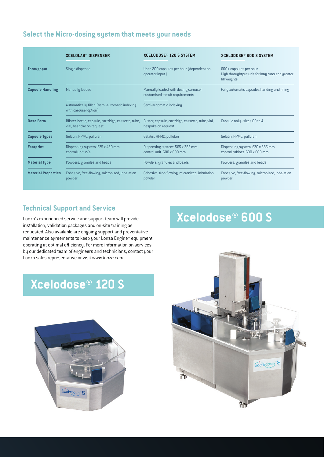#### **Select the Micro-dosing system that meets your needs**

|                            | <b>XCELOLAB™ DISPENSER</b>                                                       | <b>XCELODOSE® 120 S SYSTEM</b>                                           | XCELODOSE® 600 S SYSTEM                                                                   |
|----------------------------|----------------------------------------------------------------------------------|--------------------------------------------------------------------------|-------------------------------------------------------------------------------------------|
| <b>Throughput</b>          | Single dispense                                                                  | Up to 200 capsules per hour (dependent on<br>operator input)             | 600+ capsules per hour<br>High throughtput unit for long runs and greater<br>fill weights |
| <b>Capsule Handling</b>    | Manually loaded                                                                  | Manually loaded with dosing carousel<br>customised to suit requirements  | Fully automatic capsules handing and filling                                              |
|                            | Automatically filled (semi-automatic indexing<br>with carousel option)           | Semi-automatic indexing                                                  |                                                                                           |
| <b>Dose Form</b>           | Blister, bottle, capsule, cartridge, cassette, tube,<br>vial, bespoke on request | Blister, capsule, cartridge, cassette, tube, vial,<br>bespoke on request | Capsule only - sizes 00 to 4                                                              |
| <b>Capsule Types</b>       | Gelatin, HPMC, pullulan                                                          | Gelatin, HPMC, pullulan                                                  | Gelatin, HPMC, pullulan                                                                   |
| <b>Footprint</b>           | Dispensing system: 575 x 430 mm<br>control unit: n/a                             | Dispensing system: 565 x 385 mm<br>control unit: 600 x 600 mm            | Dispensing system: 670 x 385 mm<br>control cabinet: 600 x 600 mm                          |
| <b>Material Type</b>       | Powders, granules and beads                                                      | Powders, granules and beads                                              | Powders, granules and beads                                                               |
| <b>Material Properties</b> | Cohesive, free-flowing, micronized, inhalation<br>powder                         | Cohesive, free-flowing, micronized, inhalation<br>powder                 | Cohesive, free-flowing, micronized, inhalation<br>powder                                  |

#### **Technical Support and Service**

Lonza's experienced service and support team will provide installation, validation packages and on-site training as requested. Also available are ongoing support and preventative maintenance agreements to keep your Lonza Engine™ equipment operating at optimal efficiency. For more information on services by our dedicated team of engineers and technicians, contact your Lonza sales representative or visit *www.lonza.com*.

## **Xcelodose® 120 S**



# **Xcelodose® 600 S**